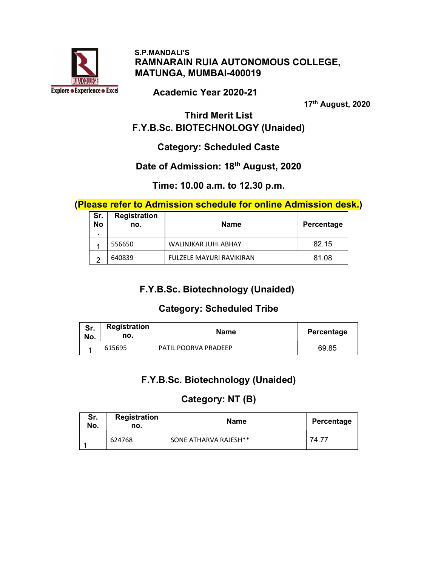

#### S.P.MANDALI'S RAMNARAIN RUIA AUTONOMOUS COLLEGE, MATUNGA, MUMBAI-400019

Academic Year 2020-21

17th August, 2020

Third Merit List F.Y.B.Sc. BIOTECHNOLOGY (Unaided)

# Category: Scheduled Caste

#### Date of Admission: 18<sup>th</sup> August, 2020

#### Time: 10.00 a.m. to 12.30 p.m.

#### (Please refer to Admission schedule for online Admission desk.)

| Sr.<br>No | <b>Registration</b><br>no. | <b>Name</b>              | Percentage |
|-----------|----------------------------|--------------------------|------------|
|           | 556650                     | WALINJKAR JUHI ABHAY     | 82.15      |
| າ         | 640839                     | FULZELE MAYURI RAVIKIRAN | 81.08      |

# F.Y.B.Sc. Biotechnology (Unaided)

#### Category: Scheduled Tribe

| Sr.<br>No. | <b>Registration</b><br>no. | <b>Name</b>                 | Percentage |
|------------|----------------------------|-----------------------------|------------|
|            | 615695                     | <b>PATIL POORVA PRADEEP</b> | 69.85      |

# F.Y.B.Sc. Biotechnology (Unaided)

## Category: NT (B)

| Sr.<br>No. | Registration<br>no. | <b>Name</b>           | Percentage |
|------------|---------------------|-----------------------|------------|
|            | 624768              | SONE ATHARVA RAJESH** | 74.77      |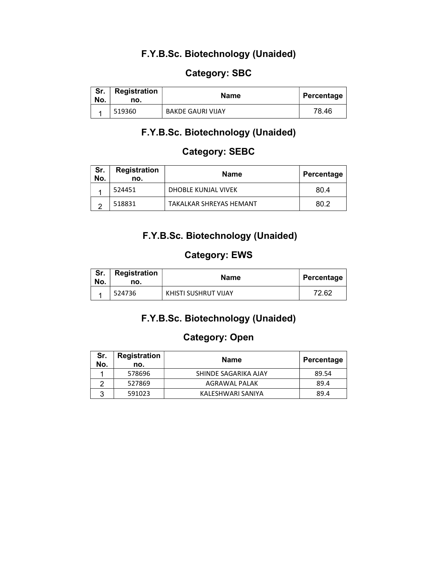#### F.Y.B.Sc. Biotechnology (Unaided)

#### Category: SBC

| Sr.<br>No. | <b>Registration</b><br>no. | Name                     | Percentage |
|------------|----------------------------|--------------------------|------------|
|            | 519360                     | <b>BAKDE GAURI VIJAY</b> | 78.46      |

# F.Y.B.Sc. Biotechnology (Unaided)

### Category: SEBC

| Sr.<br>No. | <b>Registration</b><br>no. | Name                    | Percentage |
|------------|----------------------------|-------------------------|------------|
|            | 524451                     | DHOBLE KUNJAL VIVEK     | 80.4       |
|            | 518831                     | TAKALKAR SHREYAS HEMANT | 80.2       |

## F.Y.B.Sc. Biotechnology (Unaided)

## Category: EWS

| Sr.<br>No. | Registration<br>no. | <b>Name</b>          | Percentage |
|------------|---------------------|----------------------|------------|
|            | 524736              | KHISTI SUSHRUT VIJAY | 72.62      |

## F.Y.B.Sc. Biotechnology (Unaided)

#### Category: Open

| Sr.<br>No. | <b>Registration</b><br>no. | <b>Name</b>          | Percentage |
|------------|----------------------------|----------------------|------------|
|            | 578696                     | SHINDE SAGARIKA AJAY | 89.54      |
|            | 527869                     | AGRAWAL PALAK        | 89.4       |
| ว          | 591023                     | KALESHWARI SANIYA    | 89.4       |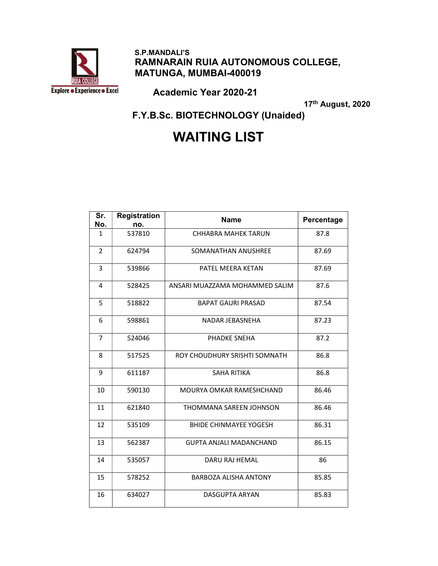

#### S.P.MANDALI'S RAMNARAIN RUIA AUTONOMOUS COLLEGE, MATUNGA, MUMBAI-400019

Academic Year 2020-21

17th August, 2020

F.Y.B.Sc. BIOTECHNOLOGY (Unaided)

# WAITING LIST

| Sr.<br>No.     | <b>Registration</b><br>no. | <b>Name</b>                    | Percentage |
|----------------|----------------------------|--------------------------------|------------|
| 1              | 537810                     | <b>CHHABRA MAHEK TARUN</b>     | 87.8       |
| $\overline{2}$ | 624794                     | SOMANATHAN ANUSHREE            | 87.69      |
| 3              | 539866                     | PATFI MFFRA KFTAN              | 87.69      |
| 4              | 528425                     | ANSARI MUAZZAMA MOHAMMED SALIM | 87.6       |
| 5              | 518822                     | <b>BAPAT GAURI PRASAD</b>      | 87.54      |
| 6              | 598861                     | NADAR JEBASNEHA                | 87.23      |
| $\overline{7}$ | 524046                     | PHADKE SNEHA                   | 87.2       |
| 8              | 517525                     | ROY CHOUDHURY SRISHTI SOMNATH  | 86.8       |
| 9              | 611187                     | <b>SAHA RITIKA</b>             | 86.8       |
| 10             | 590130                     | MOURYA OMKAR RAMESHCHAND       | 86.46      |
| 11             | 621840                     | THOMMANA SAREEN JOHNSON        | 86.46      |
| 12             | 535109                     | <b>BHIDE CHINMAYEE YOGESH</b>  | 86.31      |
| 13             | 562387                     | <b>GUPTA ANJALI MADANCHAND</b> | 86.15      |
| 14             | 535057                     | DARU RAJ HEMAL                 | 86         |
| 15             | 578252                     | BARBOZA ALISHA ANTONY          | 85.85      |
| 16             | 634027                     | <b>DASGUPTA ARYAN</b>          | 85.83      |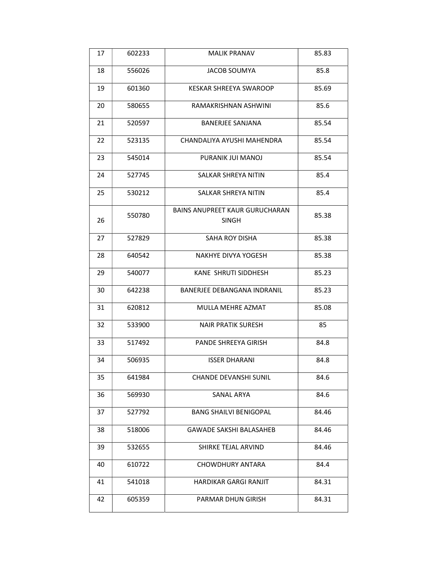| 17 | 602233 | MALIK PRANAV                                   | 85.83 |
|----|--------|------------------------------------------------|-------|
| 18 | 556026 | <b>JACOB SOUMYA</b>                            | 85.8  |
| 19 | 601360 | <b>KESKAR SHREEYA SWAROOP</b>                  | 85.69 |
| 20 | 580655 | RAMAKRISHNAN ASHWINI                           | 85.6  |
| 21 | 520597 | <b>BANERJEE SANJANA</b>                        | 85.54 |
| 22 | 523135 | CHANDALIYA AYUSHI MAHENDRA                     | 85.54 |
| 23 | 545014 | PURANIK JUI MANOJ                              | 85.54 |
| 24 | 527745 | SALKAR SHREYA NITIN                            | 85.4  |
| 25 | 530212 | SALKAR SHREYA NITIN                            | 85.4  |
| 26 | 550780 | <b>BAINS ANUPREET KAUR GURUCHARAN</b><br>SINGH | 85.38 |
| 27 | 527829 | SAHA ROY DISHA                                 | 85.38 |
| 28 | 640542 | NAKHYE DIVYA YOGESH                            | 85.38 |
| 29 | 540077 | KANE SHRUTI SIDDHESH                           | 85.23 |
| 30 | 642238 | <b>BANERJEE DEBANGANA INDRANIL</b>             | 85.23 |
| 31 | 620812 | MULLA MEHRE AZMAT                              | 85.08 |
| 32 | 533900 | <b>NAIR PRATIK SURESH</b>                      | 85    |
| 33 | 517492 | <b>PANDE SHREEYA GIRISH</b>                    | 84.8  |
| 34 | 506935 | <b>ISSER DHARANI</b>                           | 84.8  |
| 35 | 641984 | <b>CHANDE DEVANSHI SUNIL</b>                   | 84.6  |
| 36 | 569930 | SANAL ARYA                                     | 84.6  |
| 37 | 527792 | <b>BANG SHAILVI BENIGOPAL</b>                  | 84.46 |
| 38 | 518006 | <b>GAWADE SAKSHI BALASAHEB</b>                 | 84.46 |
| 39 | 532655 | SHIRKE TEJAL ARVIND                            | 84.46 |
| 40 | 610722 | CHOWDHURY ANTARA                               | 84.4  |
| 41 | 541018 | HARDIKAR GARGI RANJIT                          | 84.31 |
| 42 | 605359 | PARMAR DHUN GIRISH                             | 84.31 |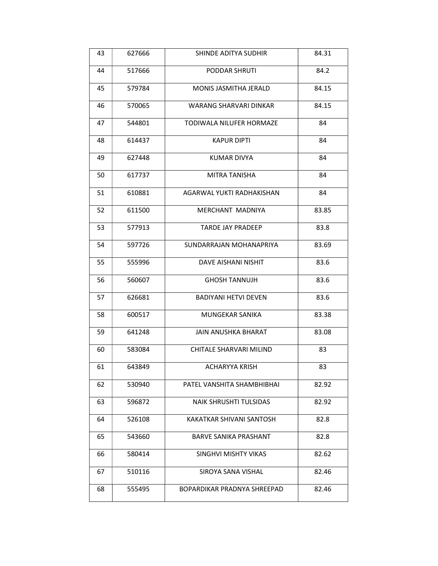| 43 | 627666 | SHINDE ADITYA SUDHIR         | 84.31 |
|----|--------|------------------------------|-------|
| 44 | 517666 | PODDAR SHRUTI                | 84.2  |
| 45 | 579784 | MONIS JASMITHA JERALD        | 84.15 |
| 46 | 570065 | WARANG SHARVARI DINKAR       | 84.15 |
| 47 | 544801 | TODIWALA NILUFER HORMAZE     | 84    |
| 48 | 614437 | KAPUR DIPTI                  | 84    |
| 49 | 627448 | <b>KUMAR DIVYA</b>           | 84    |
| 50 | 617737 | <b>MITRA TANISHA</b>         | 84    |
| 51 | 610881 | AGARWAL YUKTI RADHAKISHAN    | 84    |
| 52 | 611500 | MERCHANT MADNIYA             | 83.85 |
| 53 | 577913 | <b>TARDE JAY PRADEEP</b>     | 83.8  |
| 54 | 597726 | SUNDARRAJAN MOHANAPRIYA      | 83.69 |
| 55 | 555996 | DAVE AISHANI NISHIT          | 83.6  |
| 56 | 560607 | <b>GHOSH TANNUJH</b>         | 83.6  |
| 57 | 626681 | <b>BADIYANI HETVI DEVEN</b>  | 83.6  |
| 58 | 600517 | <b>MUNGEKAR SANIKA</b>       | 83.38 |
| 59 | 641248 | <b>JAIN ANUSHKA BHARAT</b>   | 83.08 |
| 60 | 583084 | CHITALE SHARVARI MILIND      | 83    |
| 61 | 643849 | ACHARYYA KRISH               | 83    |
| 62 | 530940 | PATEL VANSHITA SHAMBHIBHAI   | 82.92 |
| 63 | 596872 | NAIK SHRUSHTI TULSIDAS       | 82.92 |
| 64 | 526108 | KAKATKAR SHIVANI SANTOSH     | 82.8  |
| 65 | 543660 | <b>BARVE SANIKA PRASHANT</b> | 82.8  |
| 66 | 580414 | SINGHVI MISHTY VIKAS         | 82.62 |
| 67 | 510116 | SIROYA SANA VISHAL           | 82.46 |
| 68 | 555495 | BOPARDIKAR PRADNYA SHREEPAD  | 82.46 |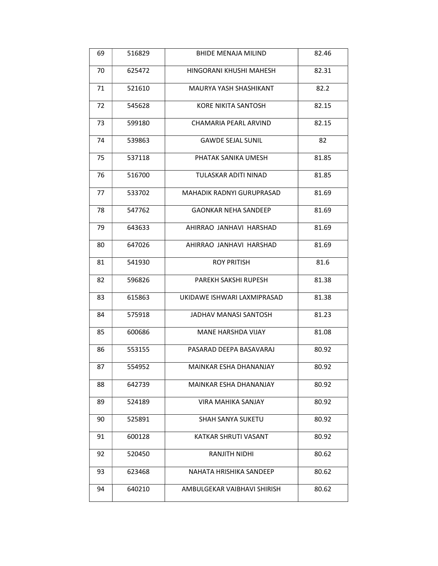| 69 | 516829 | <b>BHIDE MENAJA MILIND</b>       | 82.46 |
|----|--------|----------------------------------|-------|
| 70 | 625472 | HINGORANI KHUSHI MAHESH          | 82.31 |
| 71 | 521610 | MAURYA YASH SHASHIKANT           | 82.2  |
| 72 | 545628 | KORE NIKITA SANTOSH              | 82.15 |
| 73 | 599180 | CHAMARIA PEARL ARVIND            | 82.15 |
| 74 | 539863 | <b>GAWDE SEJAL SUNIL</b>         | 82    |
| 75 | 537118 | PHATAK SANIKA UMESH              | 81.85 |
| 76 | 516700 | TULASKAR ADITI NINAD             | 81.85 |
| 77 | 533702 | <b>MAHADIK RADNYI GURUPRASAD</b> | 81.69 |
| 78 | 547762 | <b>GAONKAR NEHA SANDEEP</b>      | 81.69 |
| 79 | 643633 | AHIRRAO JANHAVI HARSHAD          | 81.69 |
| 80 | 647026 | AHIRRAO JANHAVI HARSHAD          | 81.69 |
| 81 | 541930 | <b>ROY PRITISH</b>               | 81.6  |
| 82 | 596826 | PAREKH SAKSHI RUPESH             | 81.38 |
| 83 | 615863 | UKIDAWE ISHWARI LAXMIPRASAD      | 81.38 |
| 84 | 575918 | <b>JADHAV MANASI SANTOSH</b>     | 81.23 |
| 85 | 600686 | <b>MANE HARSHDA VIJAY</b>        | 81.08 |
| 86 | 553155 | PASARAD DEEPA BASAVARAJ          | 80.92 |
| 87 | 554952 | MAINKAR ESHA DHANANJAY           | 80.92 |
| 88 | 642739 | MAINKAR ESHA DHANANJAY           | 80.92 |
| 89 | 524189 | <b>VIRA MAHIKA SANJAY</b>        | 80.92 |
| 90 | 525891 | <b>SHAH SANYA SUKETU</b>         | 80.92 |
| 91 | 600128 | KATKAR SHRUTI VASANT             | 80.92 |
| 92 | 520450 | <b>RANJITH NIDHI</b>             | 80.62 |
| 93 | 623468 | NAHATA HRISHIKA SANDEEP          | 80.62 |
| 94 | 640210 | AMBULGEKAR VAIBHAVI SHIRISH      | 80.62 |